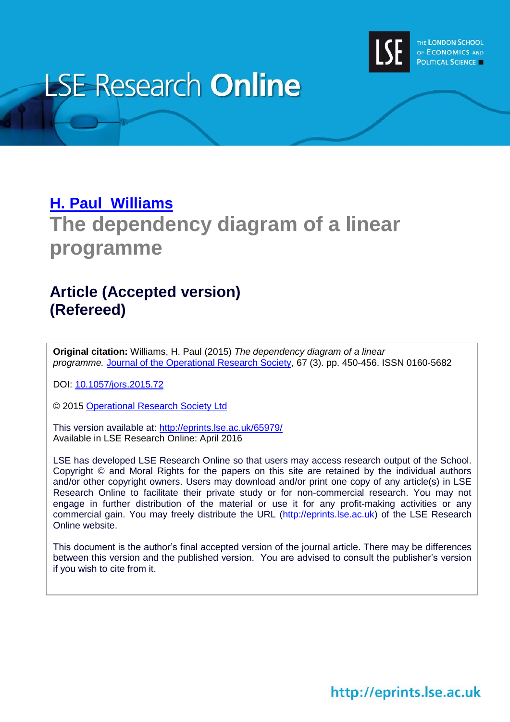

# **LSE Research Online**

# **[H. Paul Williams](http://www.lse.ac.uk/researchAndExpertise/Experts/profile.aspx?KeyValue=h.p.williams@lse.ac.uk) The dependency diagram of a linear programme**

# **Article (Accepted version) (Refereed)**

**Original citation:** Williams, H. Paul (2015) *The dependency diagram of a linear programme.* [Journal of the Operational Research Society,](http://www.palgrave-journals.com/jors/index.html) 67 (3). pp. 450-456. ISSN 0160-5682

DOI: [10.1057/jors.2015.72](http://dx.doi.org/10.1057/jors.2015.72)

© 2015 [Operational Research Society Ltd](https://www.theorsociety.com/)

This version available at:<http://eprints.lse.ac.uk/65979/> Available in LSE Research Online: April 2016

LSE has developed LSE Research Online so that users may access research output of the School. Copyright © and Moral Rights for the papers on this site are retained by the individual authors and/or other copyright owners. Users may download and/or print one copy of any article(s) in LSE Research Online to facilitate their private study or for non-commercial research. You may not engage in further distribution of the material or use it for any profit-making activities or any commercial gain. You may freely distribute the URL (http://eprints.lse.ac.uk) of the LSE Research Online website.

This document is the author's final accepted version of the journal article. There may be differences between this version and the published version. You are advised to consult the publisher's version if you wish to cite from it.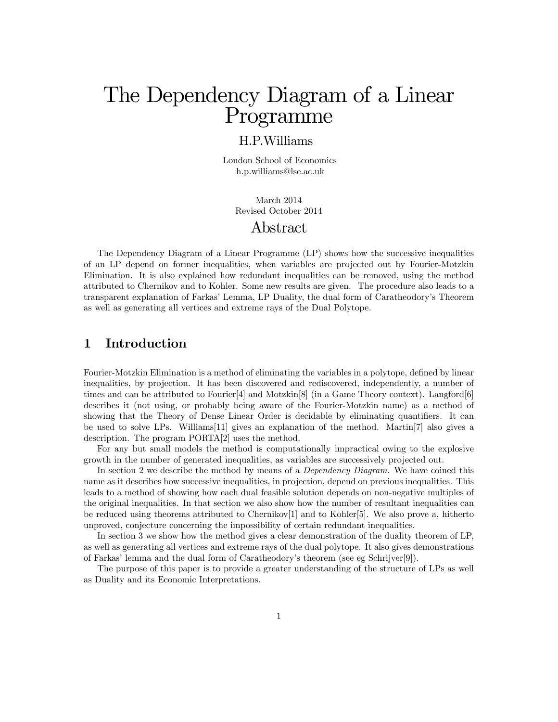# The Dependency Diagram of a Linear Programme

## H.P.Williams

London School of Economics h.p.williams@lse.ac.uk

> March 2014 Revised October 2014

## Abstract

The Dependency Diagram of a Linear Programme (LP) shows how the successive inequalities of an LP depend on former inequalities, when variables are projected out by Fourier-Motzkin Elimination. It is also explained how redundant inequalities can be removed, using the method attributed to Chernikov and to Kohler. Some new results are given. The procedure also leads to a transparent explanation of Farkas' Lemma, LP Duality, the dual form of Caratheodory's Theorem as well as generating all vertices and extreme rays of the Dual Polytope.

#### 1 Introduction

Fourier-Motzkin Elimination is a method of eliminating the variables in a polytope, defined by linear inequalities, by projection. It has been discovered and rediscovered, independently, a number of times and can be attributed to Fourier<sup>[4]</sup> and Motzkin<sup>[8]</sup> (in a Game Theory context). Langford<sup>[6]</sup> describes it (not using, or probably being aware of the Fourier-Motzkin name) as a method of showing that the Theory of Dense Linear Order is decidable by eliminating quantifiers. It can be used to solve LPs. Williams[11] gives an explanation of the method. Martin[7] also gives a description. The program PORTA[2] uses the method.

For any but small models the method is computationally impractical owing to the explosive growth in the number of generated inequalities, as variables are successively projected out.

In section 2 we describe the method by means of a *Dependency Diagram*. We have coined this name as it describes how successive inequalities, in projection, depend on previous inequalities. This leads to a method of showing how each dual feasible solution depends on non-negative multiples of the original inequalities. In that section we also show how the number of resultant inequalities can be reduced using theorems attributed to Chernikov[1] and to Kohler[5]. We also prove a, hitherto unproved, conjecture concerning the impossibility of certain redundant inequalities.

In section 3 we show how the method gives a clear demonstration of the duality theorem of LP, as well as generating all vertices and extreme rays of the dual polytope. It also gives demonstrations of Farkas' lemma and the dual form of Caratheodory's theorem (see eg Schrijver[9]).

The purpose of this paper is to provide a greater understanding of the structure of LPs as well as Duality and its Economic Interpretations.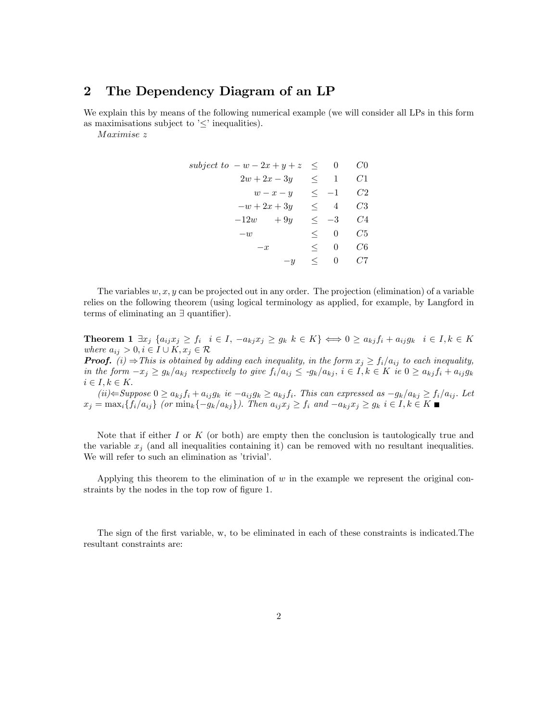# 2 The Dependency Diagram of an LP

We explain this by means of the following numerical example (we will consider all LPs in this form as maximisations subject to  $\leq$  inequalities).

Maximise z

$$
subject\ to\ -w - 2x + y + z &\leq\ 0\quad\ C0
$$
  
\n
$$
2w + 2x - 3y &\leq\ 1\quad\ C1
$$
  
\n
$$
w - x - y &\leq\ -1\quad C2
$$
  
\n
$$
-w + 2x + 3y &\leq\ 4\quad C3
$$
  
\n
$$
-12w + 9y &\leq\ -3\quad C4
$$
  
\n
$$
-w &\leq\ 0\quad C5
$$
  
\n
$$
-x &\leq\ 0\quad C6
$$
  
\n
$$
-y &\leq\ 0\quad C7
$$

The variables  $w, x, y$  can be projected out in any order. The projection (elimination) of a variable relies on the following theorem (using logical terminology as applied, for example, by Langford in terms of eliminating an  $\exists$  quantifier).

**Theorem 1**  $\exists x_j \{a_{ij}x_j \geq f_i \mid i \in I, \ -a_{kj}x_j \geq g_k \mid k \in K\} \Longleftrightarrow 0 \geq a_{kj}f_i + a_{ij}g_k \mid i \in I, k \in K$ where  $a_{ij} > 0, i \in I \cup K, x_j \in \mathcal{R}$ 

**Proof.** (i)  $\Rightarrow$  This is obtained by adding each inequality, in the form  $x_j \geq f_i/a_{ij}$  to each inequality, in the form  $-x_j \ge g_k/a_{kj}$  respectively to give  $f_i/a_{ij} \le -g_k/a_{kj}$ ,  $i \in I, k \in K$  ie  $0 \ge a_{kj}f_i + a_{ij}g_k$  $i \in I, k \in K.$ 

(ii) $\Leftarrow$ Suppose  $0 \ge a_{kj} f_i + a_{ij} g_k$  ie  $-a_{ij} g_k \ge a_{kj} f_i$ . This can expressed as  $-g_k/a_{kj} \ge f_i/a_{ij}$ . Let  $x_j = \max_i \{f_i/a_{ij}\}$  (or  $\min_k \{-g_k/a_{kj}\}\}\)$ . Then  $a_{ij}x_j \geq f_i$  and  $-a_{kj}x_j \geq g_k$   $i \in I, k \in K$ 

Note that if either  $I$  or  $K$  (or both) are empty then the conclusion is tautologically true and the variable  $x_j$  (and all inequalities containing it) can be removed with no resultant inequalities. We will refer to such an elimination as 'trivial'.

Applying this theorem to the elimination of  $w$  in the example we represent the original constraints by the nodes in the top row of figure 1.

The sign of the first variable, w, to be eliminated in each of these constraints is indicated. The resultant constraints are: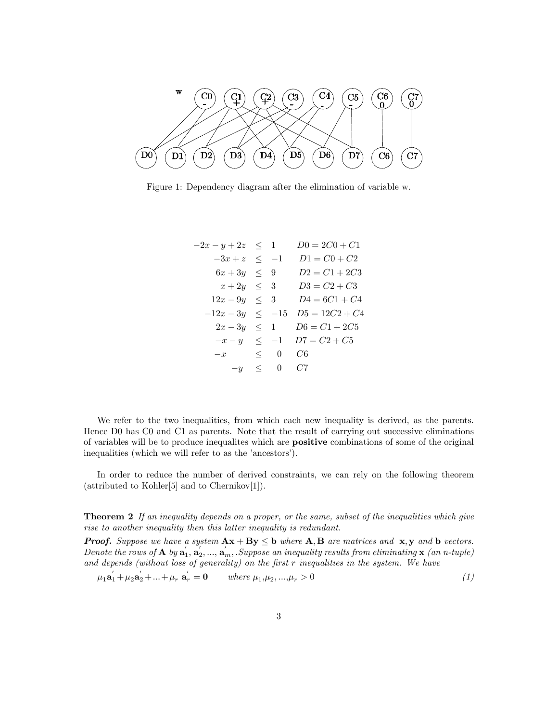

Figure 1: Dependency diagram after the elimination of variable w.

| $-2x - y + 2z \leq 1$ |  | $D0 = 2C0 + C1$                      |
|-----------------------|--|--------------------------------------|
| $-3x + z \le -1$      |  | $D1 = C0 + C2$                       |
| $6x + 3y \leq 9$      |  | $D2 = C1 + 2C3$                      |
| $x+2y \leq 3$         |  | $D3 = C2 + C3$                       |
| $12x - 9y \leq 3$     |  | $D4 = 6C1 + C4$                      |
|                       |  | $-12x - 3y \le -15$ $D5 = 12C2 + C4$ |
|                       |  |                                      |
|                       |  | $2x - 3y \le 1$ $D6 = C1 + 2C5$      |
|                       |  | $-x-y \le -1$ $D7 = C2 + C5$         |
| $-x \leq 0 \leq C6$   |  |                                      |
| $-y \leq 0$           |  | C7                                   |

We refer to the two inequalities, from which each new inequality is derived, as the parents. Hence D0 has C0 and C1 as parents. Note that the result of carrying out successive eliminations of variables will be to produce inequalites which are positive combinations of some of the original inequalities (which we will refer to as the 'ancestors').

In order to reduce the number of derived constraints, we can rely on the following theorem (attributed to Kohler[5] and to Chernikov[1]).

**Theorem 2** If an inequality depends on a proper, or the same, subset of the inequalities which give rise to another inequality then this latter inequality is redundant.

**Proof.** Suppose we have a system  $Ax + By \leq b$  where  $A, B$  are matrices and  $x, y$  and b vectors. Denote the rows of  $A$  by  $a_1', a_2', ..., a_m'$ . Suppose an inequality results from eliminating  $x$  (an n-tuple) and depends (without loss of generality) on the first  $r$  inequalities in the system. We have

$$
\mu_1 \mathbf{a}'_1 + \mu_2 \mathbf{a}'_2 + \dots + \mu_r \mathbf{a}'_r = \mathbf{0} \qquad \text{where } \mu_1, \mu_2, \dots, \mu_r > 0 \tag{1}
$$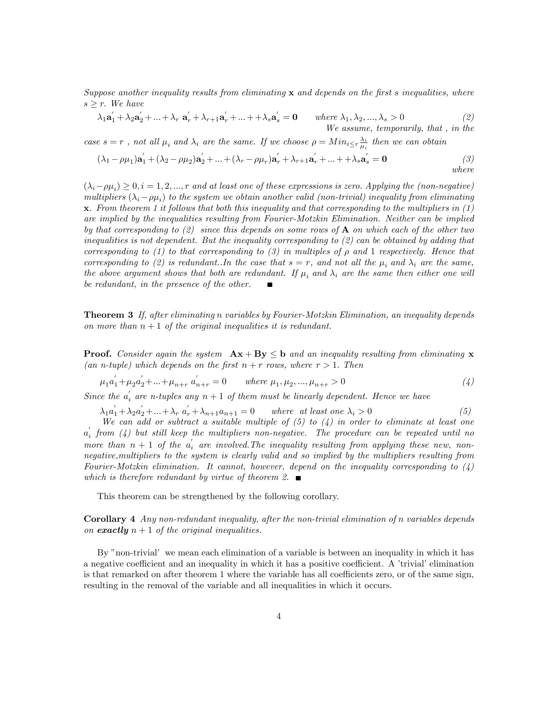Suppose another inequality results from eliminating  $x$  and depends on the first s inequalities, where  $s > r$ . We have

$$
\lambda_1 \mathbf{a}'_1 + \lambda_2 \mathbf{a}'_2 + \ldots + \lambda_r \ \mathbf{a}'_r + \lambda_{r+1} \mathbf{a}'_r + \ldots + \lambda_s \mathbf{a}'_s = \mathbf{0} \qquad \text{where } \lambda_1, \lambda_2, \ldots, \lambda_s > 0 \tag{2}
$$
  
We assume, temporarily, that, in the

case  $s = r$ , not all  $\mu_i$  and  $\lambda_i$  are the same. If we choose  $\rho = Min_{i \leq r} \frac{\lambda_i}{\mu_i}$  then we can obtain

$$
(\lambda_1 - \rho \mu_1)\mathbf{a}'_1 + (\lambda_2 - \rho \mu_2)\mathbf{a}'_2 + \dots + (\lambda_r - \rho \mu_r)\mathbf{a}'_r + \lambda_{r+1}\mathbf{a}'_r + \dots + \lambda_s\mathbf{a}'_s = \mathbf{0}
$$
\n(3)

 $(i\lambda_i - \rho \mu_i) \geq 0, i = 1, 2, ..., r$  and at least one of these expressions is zero. Applying the (non-negative) multipliers  $(\lambda_i - \rho \mu_i)$  to the system we obtain another valid (non-trivial) inequality from eliminating  $\mathbf x$ . From theorem 1 it follows that both this inequality and that corresponding to the multipliers in (1) are implied by the inequalities resulting from Fourier-Motzkin Elimination. Neither can be implied by that corresponding to  $(2)$  since this depends on some rows of **A** on which each of the other two inequalities is not dependent. But the inequality corresponding to (2) can be obtained by adding that corresponding to (1) to that corresponding to (3) in multiples of  $\rho$  and 1 respectively. Hence that corresponding to (2) is redundant..In the case that  $s = r$ , and not all the  $\mu_i$  and  $\lambda_i$  are the same, the above argument shows that both are redundant. If  $\mu_i$  and  $\lambda_i$  are the same then either one will be redundant, in the presence of the other.

Theorem 3 If, after eliminating n variables by Fourier-Motzkin Elimination, an inequality depends on more than  $n + 1$  of the original inequalities it is redundant.

**Proof.** Consider again the system  $Ax + By \leq b$  and an inequality resulting from eliminating x (an n-tuple) which depends on the first  $n + r$  rows, where  $r > 1$ . Then

$$
\mu_1 a_1' + \mu_2 a_2' + \dots + \mu_{n+r} a_{n+r}' = 0 \qquad \text{where } \mu_1, \mu_2, \dots, \mu_{n+r} > 0 \tag{4}
$$

Since the  $a'_i$  are n-tuples any  $n+1$  of them must be linearly dependent. Hence we have

$$
\lambda_1 a_1' + \lambda_2 a_2' + \ldots + \lambda_r a_r' + \lambda_{n+1} a_{n+1} = 0 \qquad \text{where} \quad \text{at least one } \lambda_i > 0 \tag{5}
$$

We can add or subtract a suitable multiple of  $(5)$  to  $(4)$  in order to eliminate at least one  $a_{i}^{'}$  from (4) but still keep the multipliers non-negative. The procedure can be repeated until no more than  $n + 1$  of the  $a'_i$  are involved. The inequality resulting from applying these new, nonnegative,multipliers to the system is clearly valid and so implied by the multipliers resulting from Fourier-Motzkin elimination. It cannot, however, depend on the inequality corresponding to (4) which is therefore redundant by virtue of theorem 2.  $\blacksquare$ 

This theorem can be strengthened by the following corollary.

Corollary 4 Any non-redundant inequality, after the non-trivial elimination of n variables depends on **exactly**  $n + 1$  of the original inequalities.

By "non-trivial" we mean each elimination of a variable is between an inequality in which it has a negative coefficient and an inequality in which it has a positive coefficient. A 'trivial' elimination is that remarked on after theorem 1 where the variable has all coefficients zero, or of the same sign, resulting in the removal of the variable and all inequalities in which it occurs.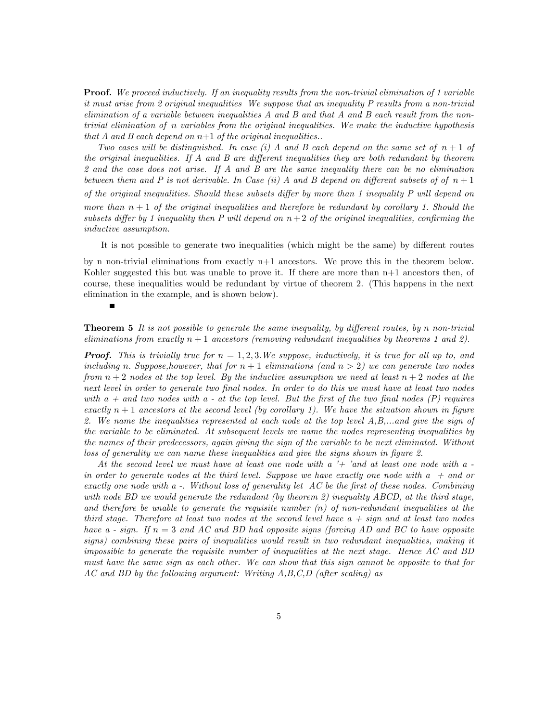**Proof.** We proceed inductively. If an inequality results from the non-trivial elimination of 1 variable it must arise from 2 original inequalities We suppose that an inequality P results from a non-trivial elimination of a variable between inequalities A and B and that A and B each result from the nontrivial elimination of n variables from the original inequalities. We make the inductive hypothesis that A and B each depend on  $n+1$  of the original inequalities..

Two cases will be distinguished. In case (i) A and B each depend on the same set of  $n+1$  of the original inequalities. If A and B are different inequalities they are both redundant by theorem 2 and the case does not arise. If A and B are the same inequality there can be no elimination between them and P is not derivable. In Case (ii) A and B depend on different subsets of of  $n+1$ of the original inequalities. Should these subsets differ by more than 1 inequality  $P$  will depend on more than  $n + 1$  of the original inequalities and therefore be redundant by corollary 1. Should the subsets differ by 1 inequality then P will depend on  $n+2$  of the original inequalities, confirming the inductive assumption.

It is not possible to generate two inequalities (which might be the same) by different routes

by n non-trivial eliminations from exactly  $n+1$  ancestors. We prove this in the theorem below. Kohler suggested this but was unable to prove it. If there are more than  $n+1$  ancestors then, of course, these inequalities would be redundant by virtue of theorem 2. (This happens in the next elimination in the example, and is shown below).

**Theorem 5** It is not possible to generate the same inequality, by different routes, by n non-trivial eliminations from exactly  $n+1$  ancestors (removing redundant inequalities by theorems 1 and 2).

**Proof.** This is trivially true for  $n = 1, 2, 3$ . We suppose, inductively, it is true for all up to, and including n. Suppose, however, that for  $n + 1$  eliminations (and  $n > 2$ ) we can generate two nodes from  $n + 2$  nodes at the top level. By the inductive assumption we need at least  $n + 2$  nodes at the next level in order to generate two final nodes. In order to do this we must have at least two nodes with  $a +$  and two nodes with  $a - at$  the top level. But the first of the two final nodes  $(P)$  requires exactly  $n + 1$  ancestors at the second level (by corollary 1). We have the situation shown in figure 2. We name the inequalities represented at each node at the top level A,B,...and give the sign of the variable to be eliminated. At subsequent levels we name the nodes representing inequalities by the names of their predecessors, again giving the sign of the variable to be next eliminated. Without  $loss of generality we can name these inequalities and give the signs shown in figure 2.$ 

At the second level we must have at least one node with a  $\dot{f}$  and at least one node with a in order to generate nodes at the third level. Suppose we have exactly one node with  $a +$  and or exactly one node with  $a$ . Without loss of generality let  $AC$  be the first of these nodes. Combining with node BD we would generate the redundant (by theorem 2) inequality ABCD, at the third stage, and therefore be unable to generate the requisite number  $(n)$  of non-redundant inequalities at the third stage. Therefore at least two nodes at the second level have  $a + \text{sign}$  and at least two nodes have a - sign. If  $n = 3$  and AC and BD had opposite signs (forcing AD and BC to have opposite signs) combining these pairs of inequalities would result in two redundant inequalities, making it impossible to generate the requisite number of inequalities at the next stage. Hence AC and BD must have the same sign as each other. We can show that this sign cannot be opposite to that for AC and BD by the following argument: Writing A,B,C,D (after scaling) as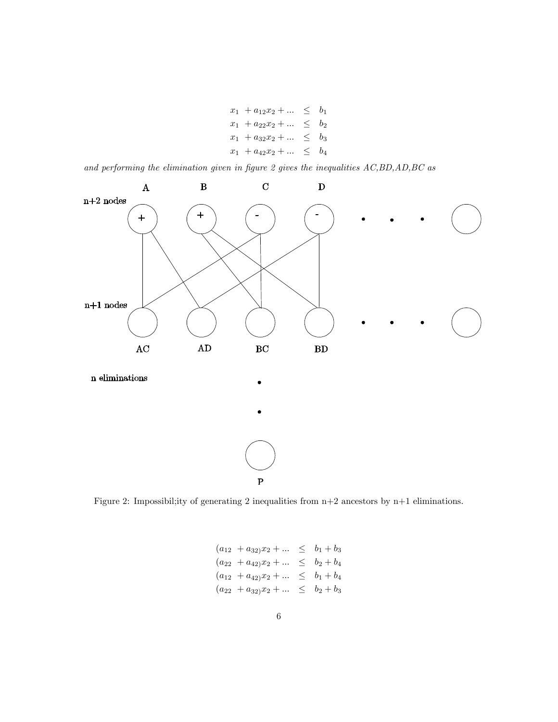$x_1 + a_{12}x_2 + \dots \leq b_1$  $x_1 + a_{22}x_2 + \dots \le b_2$  $x_1 + a_{32}x_2 + \dots \leq b_3$  $x_1 + a_{42}x_2 + \ldots \leq b_4$ 

and performing the elimination given in figure 2 gives the inequalities  $AC, BD, AD, BC$  as



Figure 2: Impossibil;ity of generating 2 inequalities from n+2 ancestors by n+1 eliminations.

| $(a_{12} + a_{32})x_2 + \dots \le b_1 + b_3$ |                    |
|----------------------------------------------|--------------------|
| $(a_{22} + a_{42})x_2 + $                    | $\leq$ $b_2 + b_4$ |
| $(a_{12} + a_{42})x_2 + $                    | $\leq$ $b_1 + b_4$ |
| $(a_{22} + a_{32})x_2 + $                    | $\leq$ $b_2 + b_3$ |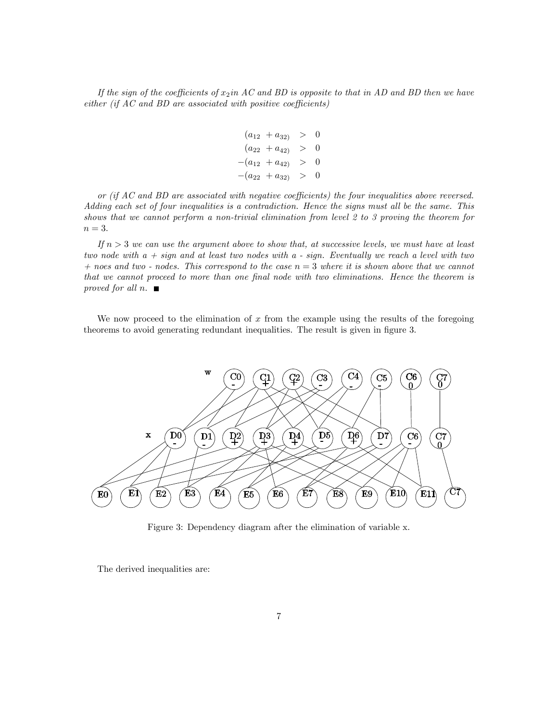If the sign of the coefficients of  $x_2$ in AC and BD is opposite to that in AD and BD then we have either (if  $AC$  and  $BD$  are associated with positive coefficients)

$$
(a_{12} + a_{32}) > 0
$$
  
\n
$$
(a_{22} + a_{42}) > 0
$$
  
\n
$$
-(a_{12} + a_{42}) > 0
$$
  
\n
$$
-(a_{22} + a_{32}) > 0
$$

or (if  $AC$  and  $BD$  are associated with negative coefficients) the four inequalities above reversed. Adding each set of four inequalities is a contradiction. Hence the signs must all be the same. This shows that we cannot perform a non-trivial elimination from level 2 to 3 proving the theorem for  $n=3.$ 

If  $n > 3$  we can use the argument above to show that, at successive levels, we must have at least two node with  $a + sign$  and at least two nodes with  $a - sign$ . Eventually we reach a level with two  $+$  noes and two - nodes. This correspond to the case  $n = 3$  where it is shown above that we cannot that we cannot proceed to more than one final node with two eliminations. Hence the theorem is proved for all  $n. \blacksquare$ 

We now proceed to the elimination of  $x$  from the example using the results of the foregoing theorems to avoid generating redundant inequalities. The result is given in figure 3.



Figure 3: Dependency diagram after the elimination of variable x.

The derived inequalities are: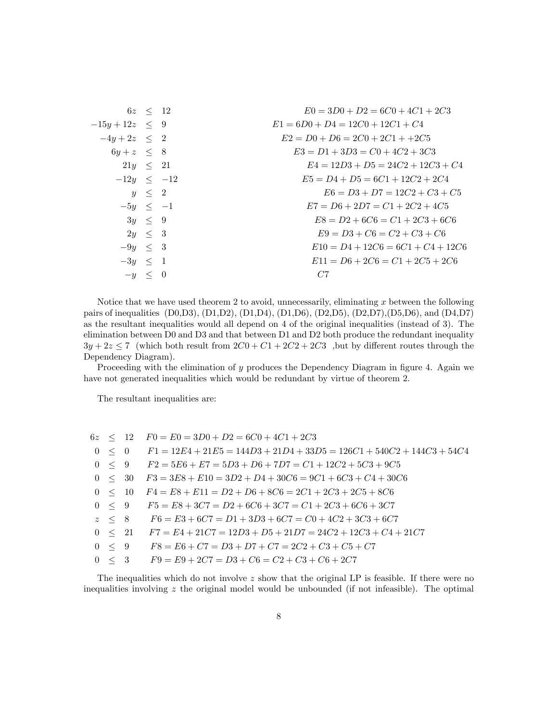|                     | $6z \leq 12$ | $E0 = 3D0 + D2 = 6C0 + 4C1 + 2C3$   |
|---------------------|--------------|-------------------------------------|
| $-15y + 12z \leq 9$ |              | $E1 = 6D0 + D4 = 12C0 + 12C1 + C4$  |
| $-4y+2z \leq 2$     |              | $E2 = D0 + D6 = 2C0 + 2C1 + 2C5$    |
| $6y + z \leq 8$     |              | $E3 = D1 + 3D3 = C0 + 4C2 + 3C3$    |
| $21y \leq 21$       |              | $E4 = 12D3 + D5 = 24C2 + 12C3 + C4$ |
| $-12y \le -12$      |              | $E5 = D4 + D5 = 6C1 + 12C2 + 2C4$   |
|                     | $y \leq 2$   | $E6 = D3 + D7 = 12C2 + C3 + C5$     |
| $-5y \leq -1$       |              | $E7 = D6 + 2D7 = C1 + 2C2 + 4C5$    |
|                     | $3y \leq 9$  | $E8 = D2 + 6C6 = C1 + 2C3 + 6C6$    |
|                     | $2y \leq 3$  | $E9 = D3 + C6 = C2 + C3 + C6$       |
| $-9y \leq 3$        |              | $E10 = D4 + 12C6 = 6C1 + C4 + 12C6$ |
| $-3y \leq 1$        |              | $E11 = D6 + 2C6 = C1 + 2C5 + 2C6$   |
| $-y \leq 0$         |              | C7                                  |
|                     |              |                                     |

Notice that we have used theorem 2 to avoid, unnecessarily, eliminating  $x$  between the following pairs of inequalities (D0,D3), (D1,D2), (D1,D4), (D1,D6), (D2,D5), (D2,D7),(D5,D6), and (D4,D7) as the resultant inequalities would all depend on 4 of the original inequalities (instead of 3). The elimination between D0 and D3 and that between D1 and D2 both produce the redundant inequality  $3y + 2z \le 7$  (which both result from  $2C0 + C1 + 2C2 + 2C3$ ), but by different routes through the Dependency Diagram).

Proceeding with the elimination of  $y$  produces the Dependency Diagram in figure 4. Again we have not generated inequalities which would be redundant by virtue of theorem 2.

The resultant inequalities are:

|             | $6z \leq 12$ | $F0 = E0 = 3D0 + D2 = 6C0 + 4C1 + 2C3$                                              |
|-------------|--------------|-------------------------------------------------------------------------------------|
|             |              | $0 \le 0 \le F1 = 12E4 + 21E5 = 144D3 + 21D4 + 33D5 = 126C1 + 540C2 + 144C3 + 54C4$ |
|             | $0 \leq 9$   | $F2 = 5E6 + E7 = 5D3 + D6 + 7D7 = C1 + 12C2 + 5C3 + 9C5$                            |
| $0 \leq 30$ |              | $F3 = 3E8 + E10 = 3D2 + D4 + 30C6 = 9C1 + 6C3 + C4 + 30C6$                          |
| $0 \leq 10$ |              | $F4 = E8 + E11 = D2 + D6 + 8C6 = 2C1 + 2C3 + 2C5 + 8C6$                             |
|             | $0 \leq 9$   | $F5 = E8 + 3C7 = D2 + 6C6 + 3C7 = C1 + 2C3 + 6C6 + 3C7$                             |
| $z \leq 8$  |              | $F6 = E3 + 6C7 = D1 + 3D3 + 6C7 = C0 + 4C2 + 3C3 + 6C7$                             |
| $0 \leq 21$ |              | $F7 = E4 + 21C7 = 12D3 + D5 + 21D7 = 24C2 + 12C3 + C4 + 21C7$                       |
| $0 \leq 9$  |              | $F8 = E6 + C7 = D3 + D7 + C7 = 2C2 + C3 + C5 + C7$                                  |
|             |              | $0 \leq 3$ $F9 = E9 + 2C7 = D3 + C6 = C2 + C3 + C6 + 2C7$                           |
|             |              |                                                                                     |

The inequalities which do not involve  $z$  show that the original LP is feasible. If there were no inequalities involving  $z$  the original model would be unbounded (if not infeasible). The optimal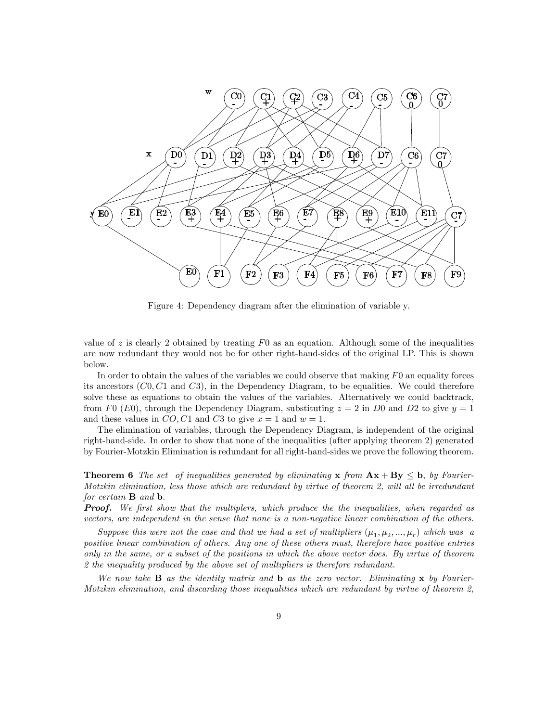

Figure 4: Dependency diagram after the elimination of variable y.

value of z is clearly 2 obtained by treating  $F0$  as an equation. Although some of the inequalities are now redundant they would not be for other right-hand-sides of the original LP. This is shown below.

In order to obtain the values of the variables we could observe that making  $F_0$  an equality forces its ancestors  $(C<sub>0</sub>, C<sub>1</sub>$  and  $C<sub>3</sub>)$ , in the Dependency Diagram, to be equalities. We could therefore solve these as equations to obtain the values of the variables. Alternatively we could backtrack, from F0 (E0), through the Dependency Diagram, substituting  $z = 2$  in D0 and D2 to give  $y = 1$ and these values in  $CO$ ,  $C1$  and  $C3$  to give  $x = 1$  and  $w = 1$ .

The elimination of variables, through the Dependency Diagram, is independent of the original right-hand-side. In order to show that none of the inequalities (after applying theorem 2) generated by Fourier-Motzkin Elimination is redundant for all right-hand-sides we prove the following theorem.

**Theorem 6** The set of inequalities generated by eliminating **x** from  $Ax + By \leq b$ , by Fourier-Motzkin elimination, less those which are redundant by virtue of theorem 2, will all be irredundant for certain  $\bf{B}$  and  $\bf{b}$ .

**Proof.** We first show that the multiplers, which produce the the inequalities, when regarded as vectors, are independent in the sense that none is a non-negative linear combination of the others.

Suppose this were not the case and that we had a set of multipliers  $(\mu_1, \mu_2, ..., \mu_r)$  which was a positive linear combination of others. Any one of these others must, therefore have positive entries only in the same, or a subset of the positions in which the above vector does. By virtue of theorem 2 the inequality produced by the above set of multipliers is therefore redundant.

We now take **B** as the identity matrix and **b** as the zero vector. Eliminating **x** by Fourier-Motzkin elimination, and discarding those inequalities which are redundant by virtue of theorem 2,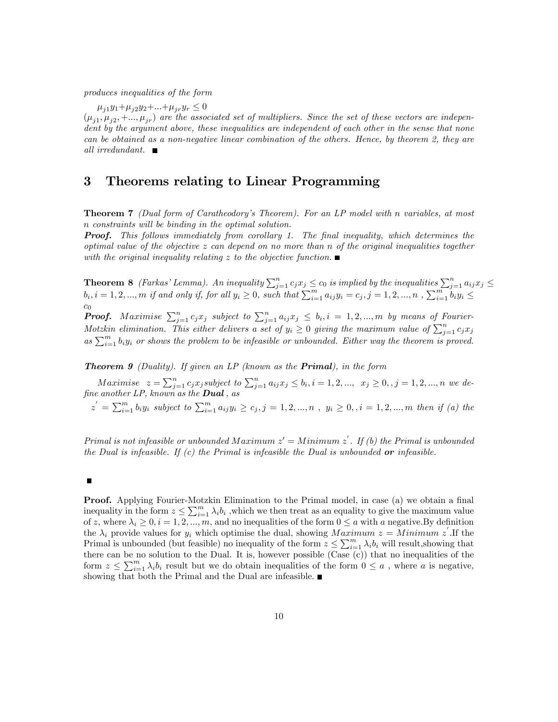produces inequalities of the form

 $\mu_{i1}y_1+\mu_{i2}y_2+\ldots+\mu_{ir}y_r \leq 0$ 

 $(\mu_{j1}, \mu_{j2}, +..., \mu_{jr})$  are the associated set of multipliers. Since the set of these vectors are independent by the argument above, these inequalities are independent of each other in the sense that none can be obtained as a non-negative linear combination of the others. Hence, by theorem 2, they are all irredundant.  $\blacksquare$ 

#### 3 Theorems relating to Linear Programming

Theorem 7 (Dual form of Caratheodoryís Theorem). For an LP model with n variables, at most n constraints will be binding in the optimal solution.

**Proof.** This follows immediately from corollary 1. The final inequality, which determines the optimal value of the objective  $z$  can depend on no more than n of the original inequalities together with the original inequality relating z to the objective function.

**Theorem 8** (Farkas' Lemma). An inequality  $\sum_{j=1}^{n} c_j x_j \leq c_0$  is implied by the inequalities  $\sum_{j=1}^{n} a_{ij} x_j \leq c_0$  $b_i$ ,  $i = 1, 2, ..., m$  if and only if, for all  $y_i \geq 0$ , such that  $\sum_{i=1}^{m} a_{ij}y_i = c_j$ ,  $j = 1, 2, ..., n$ ,  $\sum_{i=1}^{m} b_i y_i \leq$  $c_0$ 

**Proof.** Maximise  $\sum_{j=1}^{n} c_j x_j$  subject to  $\sum_{j=1}^{n} a_{ij} x_j \leq b_i, i = 1, 2, ..., m$  by means of Fourier-Motzkin elimination. This either delivers a set of  $y_i \geq 0$  giving the maximum value of  $\sum_{j=1}^n c_j x_j$ as  $\sum_{i=1}^{m} b_i y_i$  or shows the problem to be infeasible or unbounded. Either way the theorem is proved.

**Theorem 9** (Duality). If given an LP (known as the **Primal**), in the form

 $Maximise \ \ z = \sum_{j=1}^{n} c_j x_j subject \ \ to \ \sum_{j=1}^{n} a_{ij} x_j \le b_i, i = 1, 2, ..., \ \ x_j \ge 0, j = 1, 2, ..., n \ \ we \ \ de$ fine another LP, known as the **Dual**, as

 $z' = \sum_{i=1}^{m} b_i y_i$  subject to  $\sum_{i=1}^{m} a_{ij} y_i \ge c_j, j = 1, 2, ..., n$ ,  $y_i \ge 0, i = 1, 2, ..., m$  then if (a) the

Primal is not infeasible or unbounded Maximum  $z' = Minimum z'$ . If (b) the Primal is unbounded the Dual is infeasible. If  $(c)$  the Primal is infeasible the Dual is unbounded or infeasible.

#### $\blacksquare$

**Proof.** Applying Fourier-Motzkin Elimination to the Primal model, in case (a) we obtain a final inequality in the form  $z \leq \sum_{i=1}^{m} \lambda_i b_i$ , which we then treat as an equality to give the maximum value of z, where  $\lambda_i \geq 0, i = 1, 2, ..., m$ , and no inequalities of the form  $0 \leq a$  with a negative. By definition the  $\lambda_i$  provide values for  $y_i$  which optimise the dual, showing M aximum  $z = Minimum z'$ . If the Primal is unbounded (but feasible) no inequality of the form  $z \leq \sum_{i=1}^{m} \lambda_i b_i$  will result, showing that there can be no solution to the Dual. It is, however possible (Case (c)) that no inequalities of the form  $z \leq \sum_{i=1}^{m} \lambda_i b_i$  result but we do obtain inequalities of the form  $0 \leq a$ , where a is negative, showing that both the Primal and the Dual are infeasible.  $\blacksquare$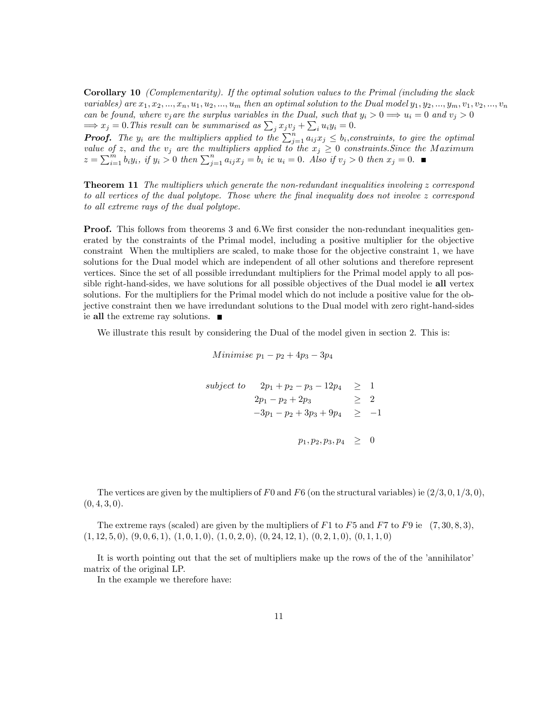Corollary 10 (Complementarity). If the optimal solution values to the Primal (including the slack variables) are  $x_1, x_2, ..., x_n, u_1, u_2, ..., u_m$  then an optimal solution to the Dual model  $y_1, y_2, ..., y_m, v_1, v_2, ..., v_n$ can be found, where  $v_j$  are the surplus variables in the Dual, such that  $y_i > 0 \Longrightarrow u_i = 0$  and  $v_j > 0$  $\implies x_j = 0$ . This result can be summarised as  $\sum_j x_j v_j + \sum_i u_i y_i = 0$ .

**Proof.** The  $y_i$  are the multipliers applied to the  $\sum_{j=1}^n a_{ij}x_j \leq b_i$ , constraints, to give the optimal value of z, and the  $v_j$  are the multipliers applied to the  $x_j \geq 0$  constraints. Since the Maximum  $z = \sum_{i=1}^{m} b_i y_i$ , if  $y_i > 0$  then  $\sum_{j=1}^{n} a_{ij} x_j = b_i$  ie  $u_i = 0$ . Also if  $v_j > 0$  then  $x_j = 0$ .

**Theorem 11** The multipliers which generate the non-redundant inequalities involving z correspond to all vertices of the dual polytope. Those where the final inequality does not involve z correspond to all extreme rays of the dual polytope.

**Proof.** This follows from theorems 3 and 6.We first consider the non-redundant inequalities generated by the constraints of the Primal model, including a positive multiplier for the objective constraint When the multipliers are scaled, to make those for the objective constraint 1, we have solutions for the Dual model which are independent of all other solutions and therefore represent vertices. Since the set of all possible irredundant multipliers for the Primal model apply to all possible right-hand-sides, we have solutions for all possible objectives of the Dual model ie all vertex solutions. For the multipliers for the Primal model which do not include a positive value for the objective constraint then we have irredundant solutions to the Dual model with zero right-hand-sides ie all the extreme ray solutions. ■

We illustrate this result by considering the Dual of the model given in section 2. This is:

Minimise 
$$
p_1 - p_2 + 4p_3 - 3p_4
$$

subject to 
$$
2p_1 + p_2 - p_3 - 12p_4 \ge 1
$$
  
\n $2p_1 - p_2 + 2p_3 \ge 2$   
\n $-3p_1 - p_2 + 3p_3 + 9p_4 \ge -1$   
\n $p_1, p_2, p_3, p_4 \ge 0$ 

The vertices are given by the multipliers of F0 and F6 (on the structural variables) ie  $(2/3, 0, 1/3, 0)$ ;  $(0, 4, 3, 0).$ 

The extreme rays (scaled) are given by the multipliers of  $F1$  to  $F5$  and  $F7$  to  $F9$  ie  $(7, 30, 8, 3)$ ;  $(1, 12, 5, 0), (9, 0, 6, 1), (1, 0, 1, 0), (1, 0, 2, 0), (0, 24, 12, 1), (0, 2, 1, 0), (0, 1, 1, 0)$ 

It is worth pointing out that the set of multipliers make up the rows of the of the 'annihilator' matrix of the original LP.

In the example we therefore have: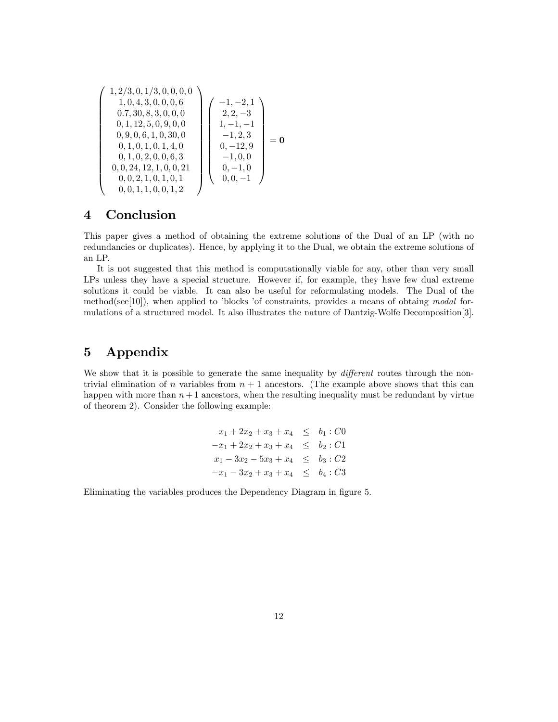$$
\left(\begin{array}{c} 1,2/3,0,1/3,0,0,0,0 \\ 1,0,4,3,0,0,0,6 \\ 0.7,30,8,3,0,0,0 \\ 0,1,12,5,0,9,0,0 \\ 0,9,0,6,1,0,30,0 \\ 0,1,0,1,0,1,4,0 \\ 0,0,24,12,1,0,0,21 \\ 0,0,2,1,0,1,0,1 \\ 0,0,1,1,0,0,1,2 \end{array}\right) \left(\begin{array}{c} -1,-2,1 \\ 2,2,-3 \\ 1,-1,-1 \\ -1,2,3 \\ 0,-12,9 \\ 0,-1,0 \end{array}\right) = \mathbf{0}
$$

## 4 Conclusion

This paper gives a method of obtaining the extreme solutions of the Dual of an LP (with no redundancies or duplicates). Hence, by applying it to the Dual, we obtain the extreme solutions of an LP.

It is not suggested that this method is computationally viable for any, other than very small LPs unless they have a special structure. However if, for example, they have few dual extreme solutions it could be viable. It can also be useful for reformulating models. The Dual of the method(see[10]), when applied to 'blocks' of constraints, provides a means of obtaing modal formulations of a structured model. It also illustrates the nature of Dantzig-Wolfe Decomposition[3].

# 5 Appendix

We show that it is possible to generate the same inequality by *different* routes through the nontrivial elimination of n variables from  $n + 1$  ancestors. (The example above shows that this can happen with more than  $n+1$  ancestors, when the resulting inequality must be redundant by virtue of theorem 2). Consider the following example:

$$
x_1 + 2x_2 + x_3 + x_4 \le b_1 : C0
$$
  

$$
-x_1 + 2x_2 + x_3 + x_4 \le b_2 : C1
$$
  

$$
x_1 - 3x_2 - 5x_3 + x_4 \le b_3 : C2
$$
  

$$
-x_1 - 3x_2 + x_3 + x_4 \le b_4 : C3
$$

Eliminating the variables produces the Dependency Diagram in figure 5.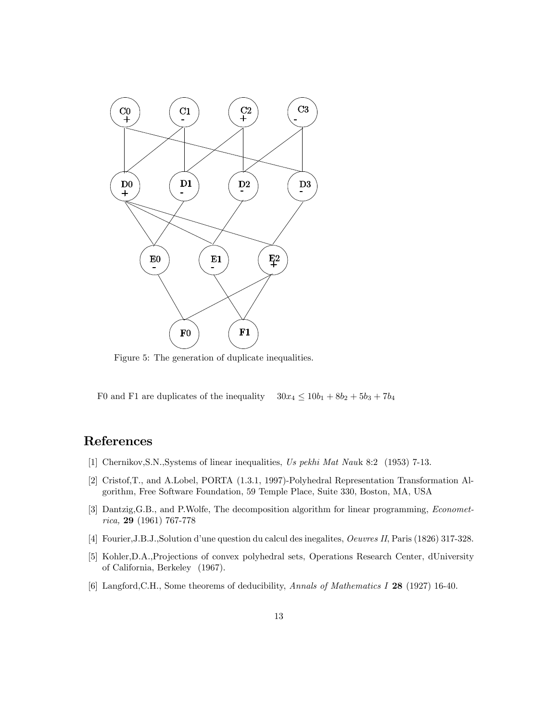

Figure 5: The generation of duplicate inequalities.

F0 and F1 are duplicates of the inequality  $30x_4 \le 10b_1 + 8b_2 + 5b_3 + 7b_4$ 

# References

- [1] Chernikov,S.N.,Systems of linear inequalities, Us pekhi Mat Nauk 8:2 (1953) 7-13.
- [2] Cristof,T., and A.Lobel, PORTA (1.3.1, 1997)-Polyhedral Representation Transformation Algorithm, Free Software Foundation, 59 Temple Place, Suite 330, Boston, MA, USA
- [3] Dantzig,G.B., and P.Wolfe, The decomposition algorithm for linear programming, Econometrica, 29 (1961) 767-778
- [4] Fourier,J.B.J.,Solution díune question du calcul des inegalites, Oeuvres II, Paris (1826) 317-328.
- [5] Kohler,D.A.,Projections of convex polyhedral sets, Operations Research Center, dUniversity of California, Berkeley (1967).
- [6] Langford,C.H., Some theorems of deducibility, Annals of Mathematics I 28 (1927) 16-40.